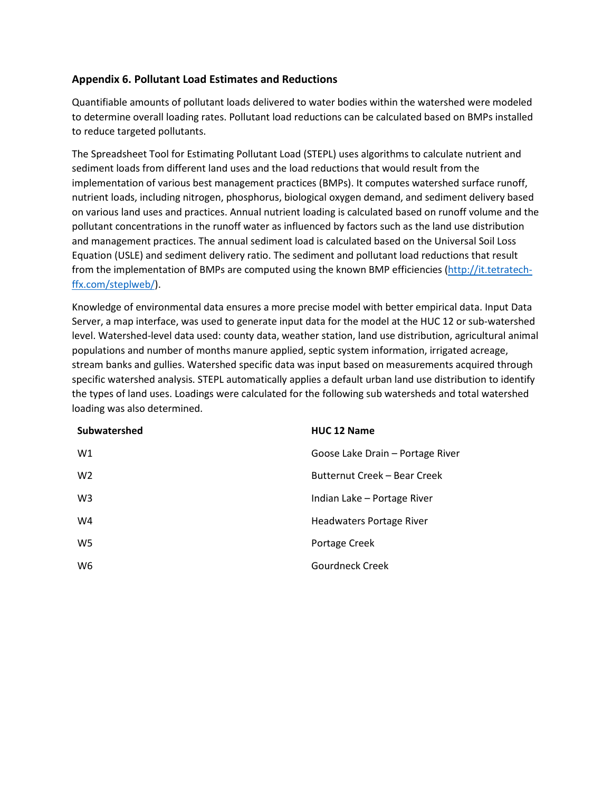## **Appendix 6. Pollutant Load Estimates and Reductions**

Quantifiable amounts of pollutant loads delivered to water bodies within the watershed were modeled to determine overall loading rates. Pollutant load reductions can be calculated based on BMPs installed to reduce targeted pollutants.

The Spreadsheet Tool for Estimating Pollutant Load (STEPL) uses algorithms to calculate nutrient and sediment loads from different land uses and the load reductions that would result from the implementation of various best management practices (BMPs). It computes watershed surface runoff, nutrient loads, including nitrogen, phosphorus, biological oxygen demand, and sediment delivery based on various land uses and practices. Annual nutrient loading is calculated based on runoff volume and the pollutant concentrations in the runoff water as influenced by factors such as the land use distribution and management practices. The annual sediment load is calculated based on the Universal Soil Loss Equation (USLE) and sediment delivery ratio. The sediment and pollutant load reductions that result from the implementation of BMPs are computed using the known BMP efficiencies [\(http://it.tetratech](http://it.tetratech-ffx.com/steplweb/)[ffx.com/steplweb/\)](http://it.tetratech-ffx.com/steplweb/).

Knowledge of environmental data ensures a more precise model with better empirical data. Input Data Server, a map interface, was used to generate input data for the model at the HUC 12 or sub-watershed level. Watershed-level data used: county data, weather station, land use distribution, agricultural animal populations and number of months manure applied, septic system information, irrigated acreage, stream banks and gullies. Watershed specific data was input based on measurements acquired through specific watershed analysis. STEPL automatically applies a default urban land use distribution to identify the types of land uses. Loadings were calculated for the following sub watersheds and total watershed loading was also determined.

| Subwatershed   | <b>HUC 12 Name</b>               |
|----------------|----------------------------------|
| W1             | Goose Lake Drain - Portage River |
| W <sub>2</sub> | Butternut Creek – Bear Creek     |
| W <sub>3</sub> | Indian Lake - Portage River      |
| W4             | Headwaters Portage River         |
| W5             | Portage Creek                    |
| W6             | Gourdneck Creek                  |
|                |                                  |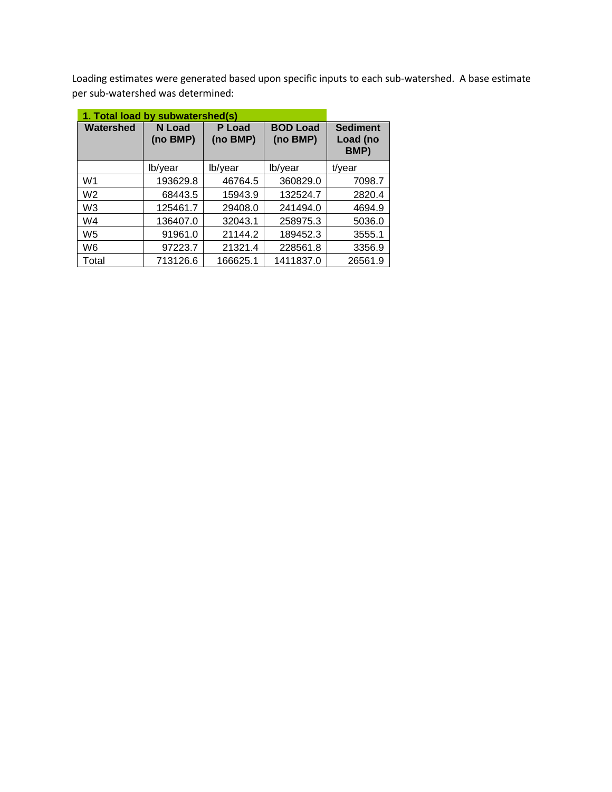Loading estimates were generated based upon specific inputs to each sub-watershed. A base estimate per sub-watershed was determined:

| 1. Total load by subwatershed(s) |                           |                    |                             |                                     |  |
|----------------------------------|---------------------------|--------------------|-----------------------------|-------------------------------------|--|
| Watershed                        | <b>N</b> Load<br>(no BMP) | P Load<br>(no BMP) | <b>BOD Load</b><br>(no BMP) | <b>Sediment</b><br>Load (no<br>BMP) |  |
|                                  | lb/year                   | lb/year            | lb/year                     | t/year                              |  |
| W <sub>1</sub>                   | 193629.8                  | 46764.5            | 360829.0                    | 7098.7                              |  |
| W <sub>2</sub>                   | 68443.5                   | 15943.9            | 132524.7                    | 2820.4                              |  |
| W <sub>3</sub>                   | 125461.7                  | 29408.0            | 241494.0                    | 4694.9                              |  |
| W4                               | 136407.0                  | 32043.1            | 258975.3                    | 5036.0                              |  |
| W <sub>5</sub>                   | 91961.0                   | 21144.2            | 189452.3                    | 3555.1                              |  |
| W <sub>6</sub>                   | 97223.7                   | 21321.4            | 228561.8                    | 3356.9                              |  |
| Total                            | 713126.6                  | 166625.1           | 1411837.0                   | 26561.9                             |  |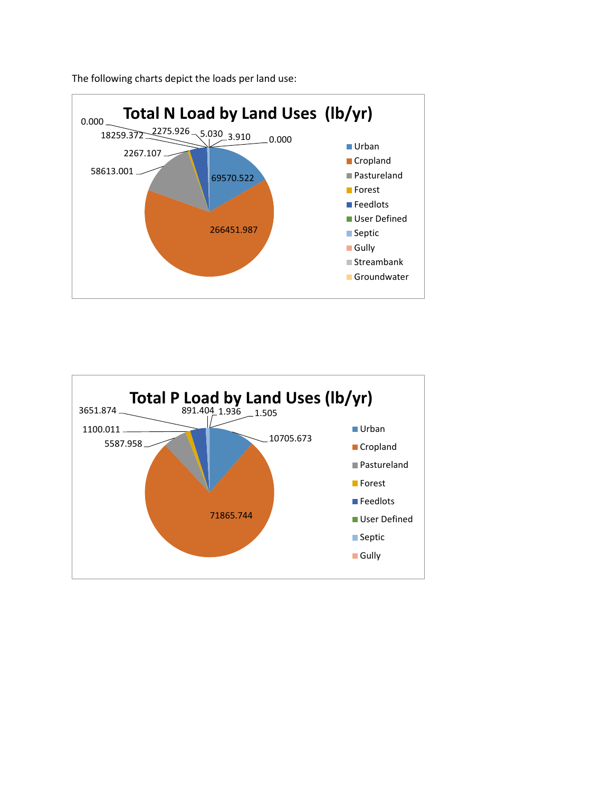

The following charts depict the loads per land use:

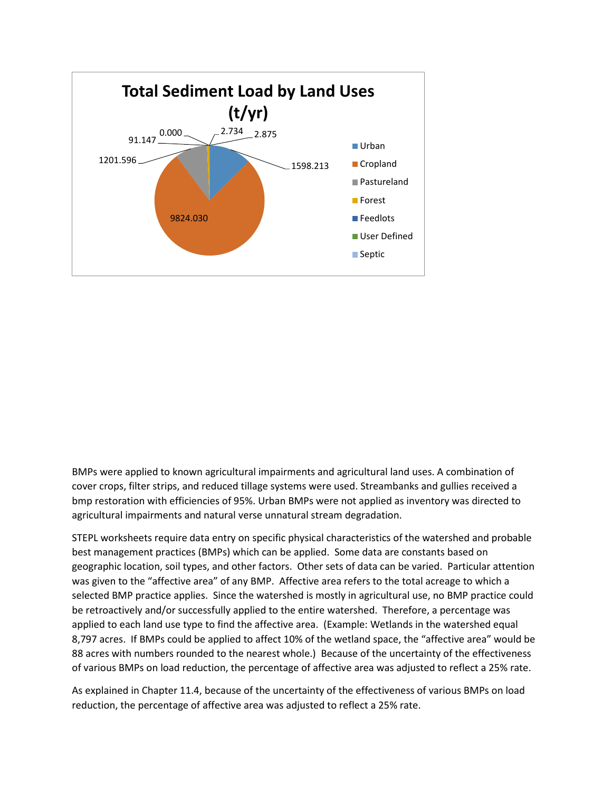

BMPs were applied to known agricultural impairments and agricultural land uses. A combination of cover crops, filter strips, and reduced tillage systems were used. Streambanks and gullies received a bmp restoration with efficiencies of 95%. Urban BMPs were not applied as inventory was directed to agricultural impairments and natural verse unnatural stream degradation.

STEPL worksheets require data entry on specific physical characteristics of the watershed and probable best management practices (BMPs) which can be applied. Some data are constants based on geographic location, soil types, and other factors. Other sets of data can be varied. Particular attention was given to the "affective area" of any BMP. Affective area refers to the total acreage to which a selected BMP practice applies. Since the watershed is mostly in agricultural use, no BMP practice could be retroactively and/or successfully applied to the entire watershed. Therefore, a percentage was applied to each land use type to find the affective area. (Example: Wetlands in the watershed equal 8,797 acres. If BMPs could be applied to affect 10% of the wetland space, the "affective area" would be 88 acres with numbers rounded to the nearest whole.) Because of the uncertainty of the effectiveness of various BMPs on load reduction, the percentage of affective area was adjusted to reflect a 25% rate.

As explained in Chapter 11.4, because of the uncertainty of the effectiveness of various BMPs on load reduction, the percentage of affective area was adjusted to reflect a 25% rate.